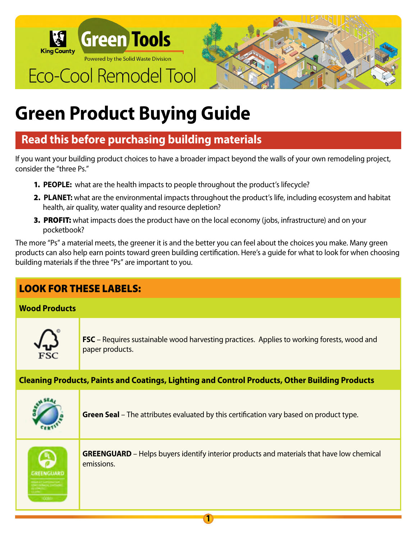

# **Green Product Buying Guide**

# **Read this before purchasing building materials**

If you want your building product choices to have a broader impact beyond the walls of your own remodeling project, consider the "three Ps."

- 1. **PEOPLE:** what are the health impacts to people throughout the product's lifecycle?
- 2. **PLANET:** what are the environmental impacts throughout the product's life, including ecosystem and habitat health, air quality, water quality and resource depletion?
- **3. PROFIT:** what impacts does the product have on the local economy (jobs, infrastructure) and on your pocketbook?

The more "Ps" a material meets, the greener it is and the better you can feel about the choices you make. Many green products can also help earn points toward green building certification. Here's a guide for what to look for when choosing building materials if the three "Ps" are important to you.

# LOOK FOR THESE LABELS:

#### **Wood Products**



**FSC** – Requires sustainable wood harvesting practices. Applies to working forests, wood and paper products.

#### **Cleaning Products, Paints and Coatings, Lighting and Control Products, Other Building Products**



**Green Seal** – The attributes evaluated by this certification vary based on product type.

**1**



**GREENGUARD** – Helps buyers identify interior products and materials that have low chemical emissions.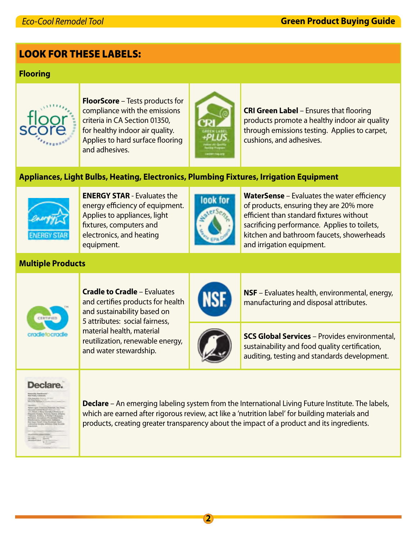### LOOK FOR THESE LABELS:

#### **Flooring**



**FloorScore** – Tests products for compliance with the emissions criteria in CA Section 01350, for healthy indoor air quality. Applies to hard surface flooring and adhesives.



**CRI Green Label** – Ensures that flooring products promote a healthy indoor air quality through emissions testing. Applies to carpet, cushions, and adhesives.

#### **Appliances, Light Bulbs, Heating, Electronics, Plumbing Fixtures, Irrigation Equipment**



**ENERGY STAR** - Evaluates the energy efficiency of equipment. Applies to appliances, light fixtures, computers and electronics, and heating equipment.



**WaterSense** – Evaluates the water efficiency of products, ensuring they are 20% more efficient than standard fixtures without sacrificing performance. Applies to toilets, kitchen and bathroom faucets, showerheads and irrigation equipment.

## **Multiple Products**



and certifies products for health and sustainability based on 5 attributes: social fairness, material health, material reutilization, renewable energy, and water stewardship.

**Cradle to Cradle** – Evaluates





**NSF** – Evaluates health, environmental, energy, manufacturing and disposal attributes.

**SCS Global Services** – Provides environmental, sustainability and food quality certification, auditing, testing and standards development.

#### Declare.



**Declare** – An emerging labeling system from the International Living Future Institute. The labels, which are earned after rigorous review, act like a 'nutrition label' for building materials and products, creating greater transparency about the impact of a product and its ingredients.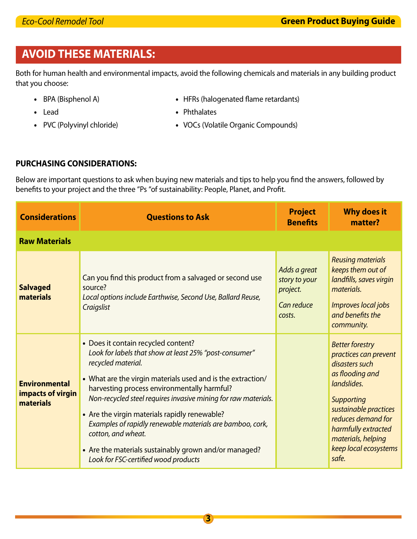# **AVOID THESE MATERIALS:**

Both for human health and environmental impacts, avoid the following chemicals and materials in any building product that you choose:

- 
- BPA (Bisphenol A) HFRs (halogenated flame retardants)
- Lead Phthalates
- 
- 
- PVC (Polyvinyl chloride) VOCs (Volatile Organic Compounds)

#### **PURCHASING CONSIDERATIONS:**

Below are important questions to ask when buying new materials and tips to help you find the answers, followed by benefits to your project and the three "Ps "of sustainability: People, Planet, and Profit.

| <b>Considerations</b>                                  | <b>Questions to Ask</b>                                                                                                                                                                                                                                                                                                                                                                                                                                                                                                                  | <b>Project</b><br><b>Benefits</b>                                 | <b>Why does it</b><br>matter?                                                                                                                                                                                                                          |  |  |  |  |
|--------------------------------------------------------|------------------------------------------------------------------------------------------------------------------------------------------------------------------------------------------------------------------------------------------------------------------------------------------------------------------------------------------------------------------------------------------------------------------------------------------------------------------------------------------------------------------------------------------|-------------------------------------------------------------------|--------------------------------------------------------------------------------------------------------------------------------------------------------------------------------------------------------------------------------------------------------|--|--|--|--|
| <b>Raw Materials</b>                                   |                                                                                                                                                                                                                                                                                                                                                                                                                                                                                                                                          |                                                                   |                                                                                                                                                                                                                                                        |  |  |  |  |
| <b>Salvaged</b><br>materials                           | Can you find this product from a salvaged or second use<br>source?<br>Local options include Earthwise, Second Use, Ballard Reuse,<br>Craigslist                                                                                                                                                                                                                                                                                                                                                                                          | Adds a great<br>story to your<br>project.<br>Can reduce<br>costs. | <b>Reusing materials</b><br>keeps them out of<br>landfills, saves virgin<br>materials.<br>Improves local jobs<br>and benefits the<br>community.                                                                                                        |  |  |  |  |
| <b>Environmental</b><br>impacts of virgin<br>materials | • Does it contain recycled content?<br>Look for labels that show at least 25% "post-consumer"<br>recycled material.<br>• What are the virgin materials used and is the extraction/<br>harvesting process environmentally harmful?<br>Non-recycled steel requires invasive mining for raw materials.<br>• Are the virgin materials rapidly renewable?<br>Examples of rapidly renewable materials are bamboo, cork,<br>cotton, and wheat.<br>• Are the materials sustainably grown and/or managed?<br>Look for FSC-certified wood products |                                                                   | <b>Better forestry</b><br>practices can prevent<br>disasters such<br>as flooding and<br>landslides.<br><b>Supporting</b><br>sustainable practices<br>reduces demand for<br>harmfully extracted<br>materials, helping<br>keep local ecosystems<br>safe. |  |  |  |  |

**3**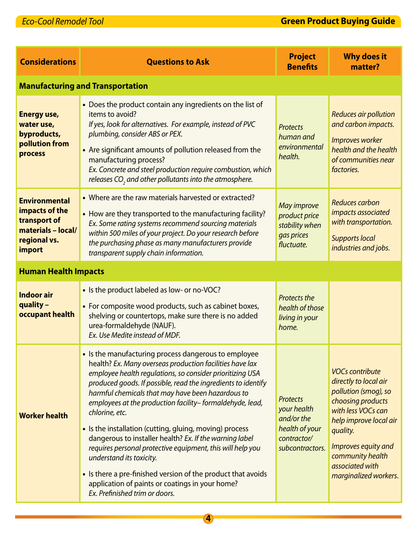## *Eco-Cool Remodel Tool* **Green Product Buying Guide**

| <b>Considerations</b>                                                                                  | <b>Questions to Ask</b>                                                                                                                                                                                                                                                                                                                                                                                                                                                                                                                                                                                                                                                                                                                                | <b>Project</b><br><b>Benefits</b>                                                                | <b>Why does it</b><br>matter?                                                                                                                                                                                                                   |  |  |  |
|--------------------------------------------------------------------------------------------------------|--------------------------------------------------------------------------------------------------------------------------------------------------------------------------------------------------------------------------------------------------------------------------------------------------------------------------------------------------------------------------------------------------------------------------------------------------------------------------------------------------------------------------------------------------------------------------------------------------------------------------------------------------------------------------------------------------------------------------------------------------------|--------------------------------------------------------------------------------------------------|-------------------------------------------------------------------------------------------------------------------------------------------------------------------------------------------------------------------------------------------------|--|--|--|
| <b>Manufacturing and Transportation</b>                                                                |                                                                                                                                                                                                                                                                                                                                                                                                                                                                                                                                                                                                                                                                                                                                                        |                                                                                                  |                                                                                                                                                                                                                                                 |  |  |  |
| <b>Energy use,</b><br>water use,<br>byproducts,<br>pollution from<br>process                           | • Does the product contain any ingredients on the list of<br>items to avoid?<br>If yes, look for alternatives. For example, instead of PVC<br>plumbing, consider ABS or PEX.<br>• Are significant amounts of pollution released from the<br>manufacturing process?<br>Ex. Concrete and steel production require combustion, which<br>releases $CO$ , and other pollutants into the atmosphere.                                                                                                                                                                                                                                                                                                                                                         | <b>Protects</b><br>human and<br>environmental<br>health.                                         | <b>Reduces air pollution</b><br>and carbon impacts.<br>Improves worker<br>health and the health<br>of communities near<br>factories.                                                                                                            |  |  |  |
| <b>Environmental</b><br>impacts of the<br>transport of<br>materials - local/<br>regional vs.<br>import | • Where are the raw materials harvested or extracted?<br>• How are they transported to the manufacturing facility?<br>Ex. Some rating systems recommend sourcing materials<br>within 500 miles of your project. Do your research before<br>the purchasing phase as many manufacturers provide<br>transparent supply chain information.                                                                                                                                                                                                                                                                                                                                                                                                                 | <b>May improve</b><br>product price<br>stability when<br>gas prices<br>fluctuate.                | Reduces carbon<br>impacts associated<br>with transportation.<br><b>Supports local</b><br>industries and jobs.                                                                                                                                   |  |  |  |
| <b>Human Health Impacts</b>                                                                            |                                                                                                                                                                                                                                                                                                                                                                                                                                                                                                                                                                                                                                                                                                                                                        |                                                                                                  |                                                                                                                                                                                                                                                 |  |  |  |
| <b>Indoor air</b><br>quality -<br>occupant health                                                      | • Is the product labeled as low- or no-VOC?<br>• For composite wood products, such as cabinet boxes,<br>shelving or countertops, make sure there is no added<br>urea-formaldehyde (NAUF).<br>Ex. Use Medite instead of MDF.                                                                                                                                                                                                                                                                                                                                                                                                                                                                                                                            | <b>Protects the</b><br>health of those<br>living in your<br>home.                                |                                                                                                                                                                                                                                                 |  |  |  |
| <b>Worker health</b>                                                                                   | • Is the manufacturing process dangerous to employee<br>health? Ex. Many overseas production facilities have lax<br>employee health regulations, so consider prioritizing USA<br>produced goods. If possible, read the ingredients to identify<br>harmful chemicals that may have been hazardous to<br>employees at the production facility-formaldehyde, lead,<br>chlorine, etc.<br>• Is the installation (cutting, gluing, moving) process<br>dangerous to installer health? Ex. If the warning label<br>requires personal protective equipment, this will help you<br>understand its toxicity.<br>• Is there a pre-finished version of the product that avoids<br>application of paints or coatings in your home?<br>Ex. Prefinished trim or doors. | <b>Protects</b><br>your health<br>and/or the<br>health of your<br>contractor/<br>subcontractors. | <b>VOCs contribute</b><br>directly to local air<br>pollution (smog), so<br>choosing products<br>with less VOCs can<br>help improve local air<br>quality.<br>Improves equity and<br>community health<br>associated with<br>marginalized workers. |  |  |  |

**4**